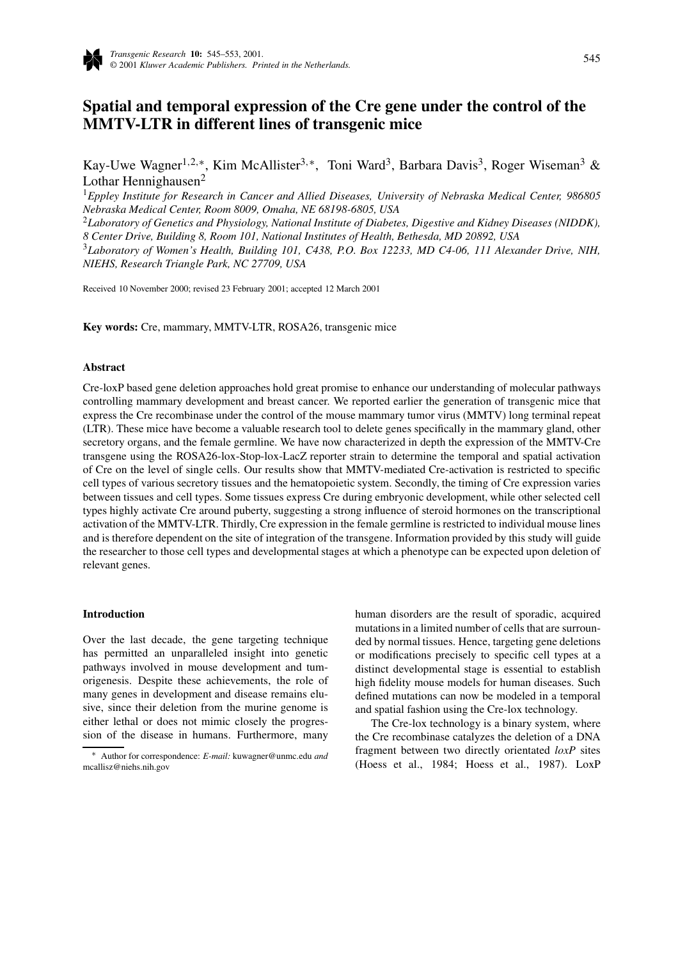

# **Spatial and temporal expression of the Cre gene under the control of the MMTV-LTR in different lines of transgenic mice**

Kay-Uwe Wagner<sup>1,2,∗</sup>, Kim McAllister<sup>3,∗</sup>, Toni Ward<sup>3</sup>, Barbara Davis<sup>3</sup>, Roger Wiseman<sup>3</sup> & Lothar Hennighausen $<sup>2</sup>$ </sup>

<sup>1</sup>*Eppley Institute for Research in Cancer and Allied Diseases, University of Nebraska Medical Center, 986805 Nebraska Medical Center, Room 8009, Omaha, NE 68198-6805, USA*

<sup>2</sup>*Laboratory of Genetics and Physiology, National Institute of Diabetes, Digestive and Kidney Diseases (NIDDK), 8 Center Drive, Building 8, Room 101, National Institutes of Health, Bethesda, MD 20892, USA*

<sup>3</sup>*Laboratory of Women's Health, Building 101, C438, P.O. Box 12233, MD C4-06, 111 Alexander Drive, NIH, NIEHS, Research Triangle Park, NC 27709, USA*

Received 10 November 2000; revised 23 February 2001; accepted 12 March 2001

**Key words:** Cre, mammary, MMTV-LTR, ROSA26, transgenic mice

# **Abstract**

Cre-loxP based gene deletion approaches hold great promise to enhance our understanding of molecular pathways controlling mammary development and breast cancer. We reported earlier the generation of transgenic mice that express the Cre recombinase under the control of the mouse mammary tumor virus (MMTV) long terminal repeat (LTR). These mice have become a valuable research tool to delete genes specifically in the mammary gland, other secretory organs, and the female germline. We have now characterized in depth the expression of the MMTV-Cre transgene using the ROSA26-lox-Stop-lox-LacZ reporter strain to determine the temporal and spatial activation of Cre on the level of single cells. Our results show that MMTV-mediated Cre-activation is restricted to specific cell types of various secretory tissues and the hematopoietic system. Secondly, the timing of Cre expression varies between tissues and cell types. Some tissues express Cre during embryonic development, while other selected cell types highly activate Cre around puberty, suggesting a strong influence of steroid hormones on the transcriptional activation of the MMTV-LTR. Thirdly, Cre expression in the female germline is restricted to individual mouse lines and is therefore dependent on the site of integration of the transgene. Information provided by this study will guide the researcher to those cell types and developmental stages at which a phenotype can be expected upon deletion of relevant genes.

#### **Introduction**

Over the last decade, the gene targeting technique has permitted an unparalleled insight into genetic pathways involved in mouse development and tumorigenesis. Despite these achievements, the role of many genes in development and disease remains elusive, since their deletion from the murine genome is either lethal or does not mimic closely the progression of the disease in humans. Furthermore, many

human disorders are the result of sporadic, acquired mutations in a limited number of cells that are surrounded by normal tissues. Hence, targeting gene deletions or modifications precisely to specific cell types at a distinct developmental stage is essential to establish high fidelity mouse models for human diseases. Such defined mutations can now be modeled in a temporal and spatial fashion using the Cre-lox technology.

The Cre-lox technology is a binary system, where the Cre recombinase catalyzes the deletion of a DNA fragment between two directly orientated *loxP* sites (Hoess et al., 1984; Hoess et al., 1987). LoxP

<sup>∗</sup> Author for correspondence: *E-mail:* kuwagner@unmc.edu *and* mcallisz@niehs.nih.gov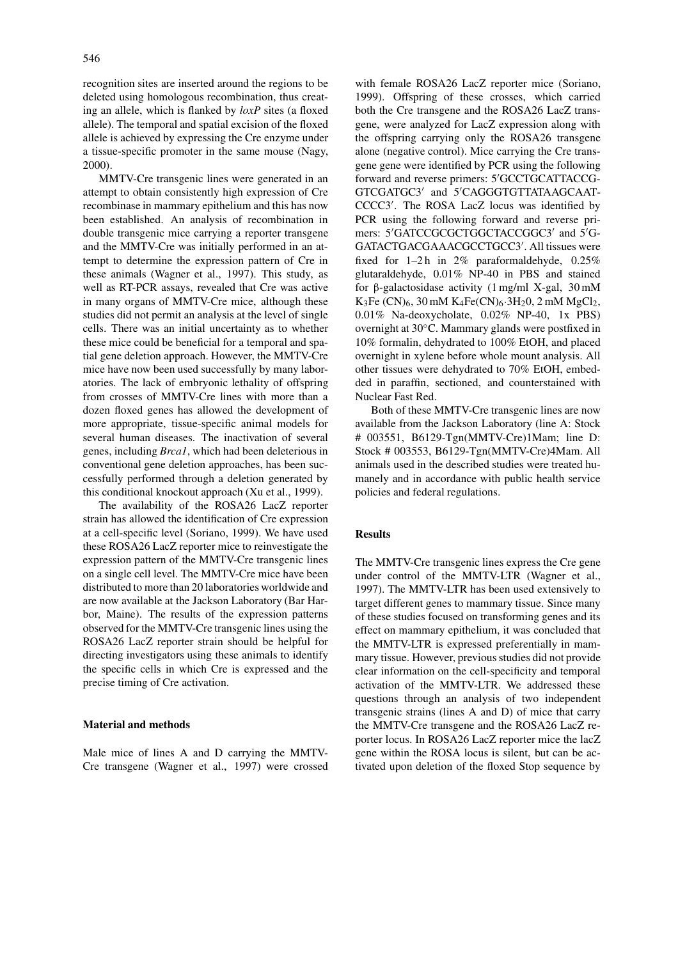recognition sites are inserted around the regions to be deleted using homologous recombination, thus creating an allele, which is flanked by *loxP* sites (a floxed allele). The temporal and spatial excision of the floxed allele is achieved by expressing the Cre enzyme under a tissue-specific promoter in the same mouse (Nagy, 2000).

MMTV-Cre transgenic lines were generated in an attempt to obtain consistently high expression of Cre recombinase in mammary epithelium and this has now been established. An analysis of recombination in double transgenic mice carrying a reporter transgene and the MMTV-Cre was initially performed in an attempt to determine the expression pattern of Cre in these animals (Wagner et al., 1997). This study, as well as RT-PCR assays, revealed that Cre was active in many organs of MMTV-Cre mice, although these studies did not permit an analysis at the level of single cells. There was an initial uncertainty as to whether these mice could be beneficial for a temporal and spatial gene deletion approach. However, the MMTV-Cre mice have now been used successfully by many laboratories. The lack of embryonic lethality of offspring from crosses of MMTV-Cre lines with more than a dozen floxed genes has allowed the development of more appropriate, tissue-specific animal models for several human diseases. The inactivation of several genes, including *Brca1*, which had been deleterious in conventional gene deletion approaches, has been successfully performed through a deletion generated by this conditional knockout approach (Xu et al., 1999).

The availability of the ROSA26 LacZ reporter strain has allowed the identification of Cre expression at a cell-specific level (Soriano, 1999). We have used these ROSA26 LacZ reporter mice to reinvestigate the expression pattern of the MMTV-Cre transgenic lines on a single cell level. The MMTV-Cre mice have been distributed to more than 20 laboratories worldwide and are now available at the Jackson Laboratory (Bar Harbor, Maine). The results of the expression patterns observed for the MMTV-Cre transgenic lines using the ROSA26 LacZ reporter strain should be helpful for directing investigators using these animals to identify the specific cells in which Cre is expressed and the precise timing of Cre activation.

#### **Material and methods**

Male mice of lines A and D carrying the MMTV-Cre transgene (Wagner et al., 1997) were crossed with female ROSA26 LacZ reporter mice (Soriano, 1999). Offspring of these crosses, which carried both the Cre transgene and the ROSA26 LacZ transgene, were analyzed for LacZ expression along with the offspring carrying only the ROSA26 transgene alone (negative control). Mice carrying the Cre transgene gene were identified by PCR using the following forward and reverse primers: 5'GCCTGCATTACCG-GTCGATGC3' and 5'CAGGGTGTTATAAGCAAT-CCCC3'. The ROSA LacZ locus was identified by PCR using the following forward and reverse primers: 5'GATCCGCGCTGGCTACCGGC3' and 5'G-GATACTGACGAAACGCCTGCC3'. All tissues were fixed for  $1-2h$  in  $2%$  paraformaldehyde,  $0.25%$ glutaraldehyde, 0.01% NP-40 in PBS and stained for β-galactosidase activity (1 mg/ml X-gal, 30 mM K<sub>3</sub>Fe (CN)<sub>6</sub>, 30 mM K<sub>4</sub>Fe(CN)<sub>6</sub> $\cdot$ 3H<sub>2</sub>0, 2 mM MgCl<sub>2</sub>, 0.01% Na-deoxycholate, 0.02% NP-40, 1x PBS) overnight at 30◦C. Mammary glands were postfixed in 10% formalin, dehydrated to 100% EtOH, and placed overnight in xylene before whole mount analysis. All other tissues were dehydrated to 70% EtOH, embedded in paraffin, sectioned, and counterstained with Nuclear Fast Red.

Both of these MMTV-Cre transgenic lines are now available from the Jackson Laboratory (line A: Stock # 003551, B6129-Tgn(MMTV-Cre)1Mam; line D: Stock # 003553, B6129-Tgn(MMTV-Cre)4Mam. All animals used in the described studies were treated humanely and in accordance with public health service policies and federal regulations.

## **Results**

The MMTV-Cre transgenic lines express the Cre gene under control of the MMTV-LTR (Wagner et al., 1997). The MMTV-LTR has been used extensively to target different genes to mammary tissue. Since many of these studies focused on transforming genes and its effect on mammary epithelium, it was concluded that the MMTV-LTR is expressed preferentially in mammary tissue. However, previous studies did not provide clear information on the cell-specificity and temporal activation of the MMTV-LTR. We addressed these questions through an analysis of two independent transgenic strains (lines A and D) of mice that carry the MMTV-Cre transgene and the ROSA26 LacZ reporter locus. In ROSA26 LacZ reporter mice the lacZ gene within the ROSA locus is silent, but can be activated upon deletion of the floxed Stop sequence by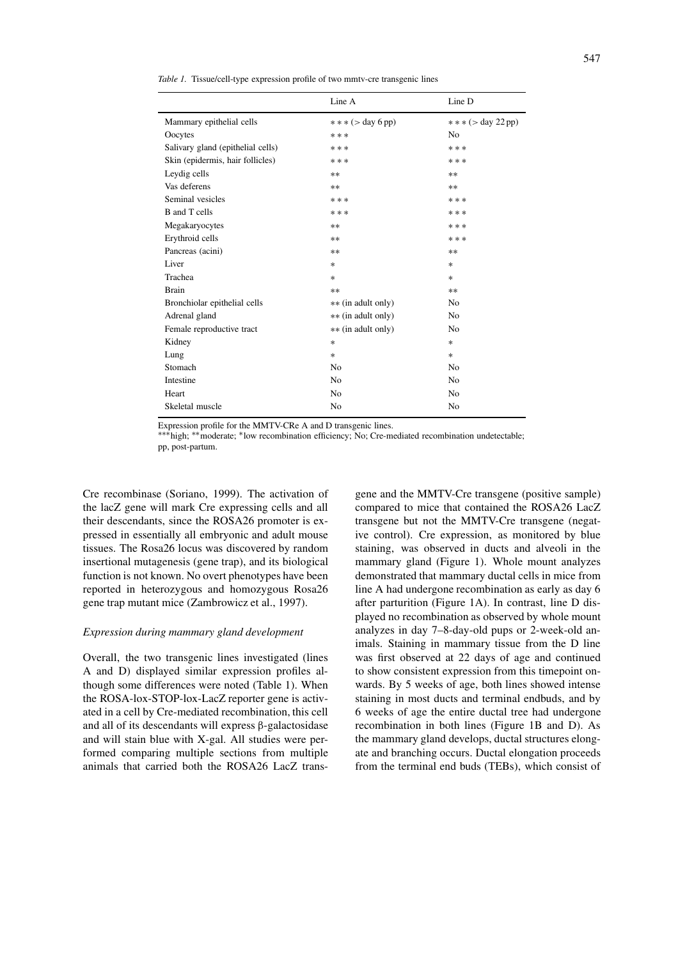*Table 1.* Tissue/cell-type expression profile of two mmtv-cre transgenic lines

|                                   | Line A              | Line D                 |
|-----------------------------------|---------------------|------------------------|
| Mammary epithelial cells          | $***$ ( > day 6 pp) | $***$ ( $>$ day 22 pp) |
| Oocytes                           | ***                 | N <sub>0</sub>         |
| Salivary gland (epithelial cells) | ***                 | ***                    |
| Skin (epidermis, hair follicles)  | ***                 | * * *                  |
| Leydig cells                      | $***$               | **                     |
| Vas deferens                      | $**$                | $**$                   |
| Seminal vesicles                  | ***                 | * * *                  |
| <b>B</b> and T cells              | ***                 | * * *                  |
| Megakaryocytes                    | **                  | * * *                  |
| Erythroid cells                   | $***$               | ***                    |
| Pancreas (acini)                  | **                  | **                     |
| Liver                             | $\ast$              | $\ast$                 |
| Trachea                           | $\ast$              | $\ast$                 |
| <b>Brain</b>                      | $***$               | $**$                   |
| Bronchiolar epithelial cells      | ** (in adult only)  | N <sub>0</sub>         |
| Adrenal gland                     | ** (in adult only)  | N <sub>0</sub>         |
| Female reproductive tract         | ** (in adult only)  | N <sub>0</sub>         |
| Kidney                            | $*$                 | $\ast$                 |
| Lung                              | $\ast$              | $\ast$                 |
| Stomach                           | No                  | N <sub>0</sub>         |
| Intestine                         | N <sub>0</sub>      | N <sub>0</sub>         |
| Heart                             | N <sub>0</sub>      | N <sub>0</sub>         |
| Skeletal muscle                   | No                  | No                     |

Expression profile for the MMTV-CRe A and D transgenic lines.

∗∗∗high; ∗∗moderate; ∗low recombination efficiency; No; Cre-mediated recombination undetectable; pp, post-partum.

Cre recombinase (Soriano, 1999). The activation of the lacZ gene will mark Cre expressing cells and all their descendants, since the ROSA26 promoter is expressed in essentially all embryonic and adult mouse tissues. The Rosa26 locus was discovered by random insertional mutagenesis (gene trap), and its biological function is not known. No overt phenotypes have been reported in heterozygous and homozygous Rosa26 gene trap mutant mice (Zambrowicz et al., 1997).

## *Expression during mammary gland development*

Overall, the two transgenic lines investigated (lines A and D) displayed similar expression profiles although some differences were noted (Table 1). When the ROSA-lox-STOP-lox-LacZ reporter gene is activated in a cell by Cre-mediated recombination, this cell and all of its descendants will express β-galactosidase and will stain blue with X-gal. All studies were performed comparing multiple sections from multiple animals that carried both the ROSA26 LacZ transgene and the MMTV-Cre transgene (positive sample) compared to mice that contained the ROSA26 LacZ transgene but not the MMTV-Cre transgene (negative control). Cre expression, as monitored by blue staining, was observed in ducts and alveoli in the mammary gland (Figure 1). Whole mount analyzes demonstrated that mammary ductal cells in mice from line A had undergone recombination as early as day 6 after parturition (Figure 1A). In contrast, line D displayed no recombination as observed by whole mount analyzes in day 7–8-day-old pups or 2-week-old animals. Staining in mammary tissue from the D line was first observed at 22 days of age and continued to show consistent expression from this timepoint onwards. By 5 weeks of age, both lines showed intense staining in most ducts and terminal endbuds, and by 6 weeks of age the entire ductal tree had undergone recombination in both lines (Figure 1B and D). As the mammary gland develops, ductal structures elongate and branching occurs. Ductal elongation proceeds from the terminal end buds (TEBs), which consist of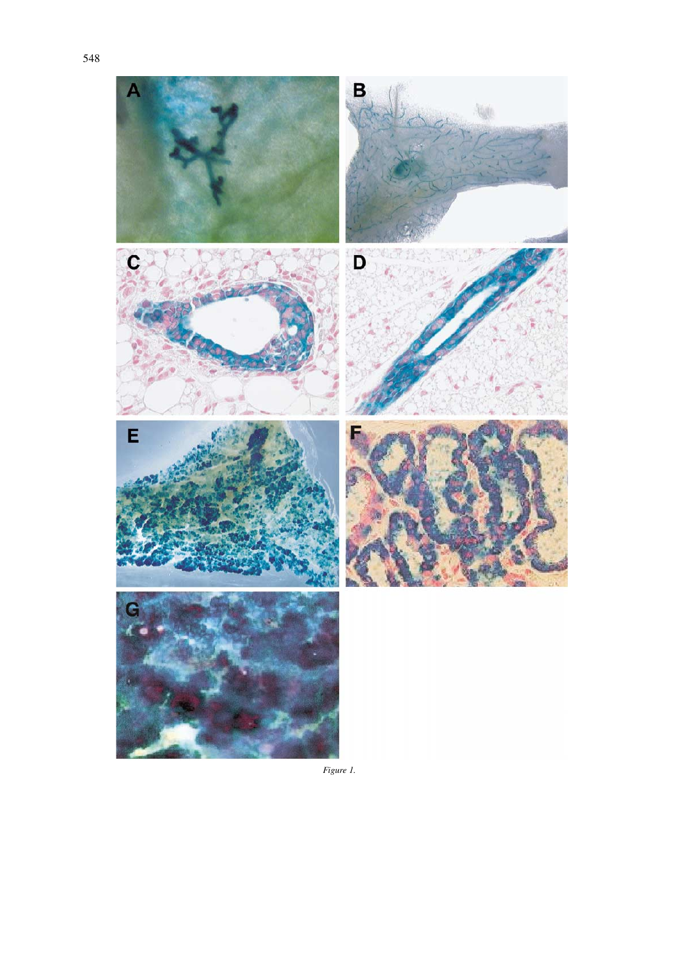

*Figure 1.*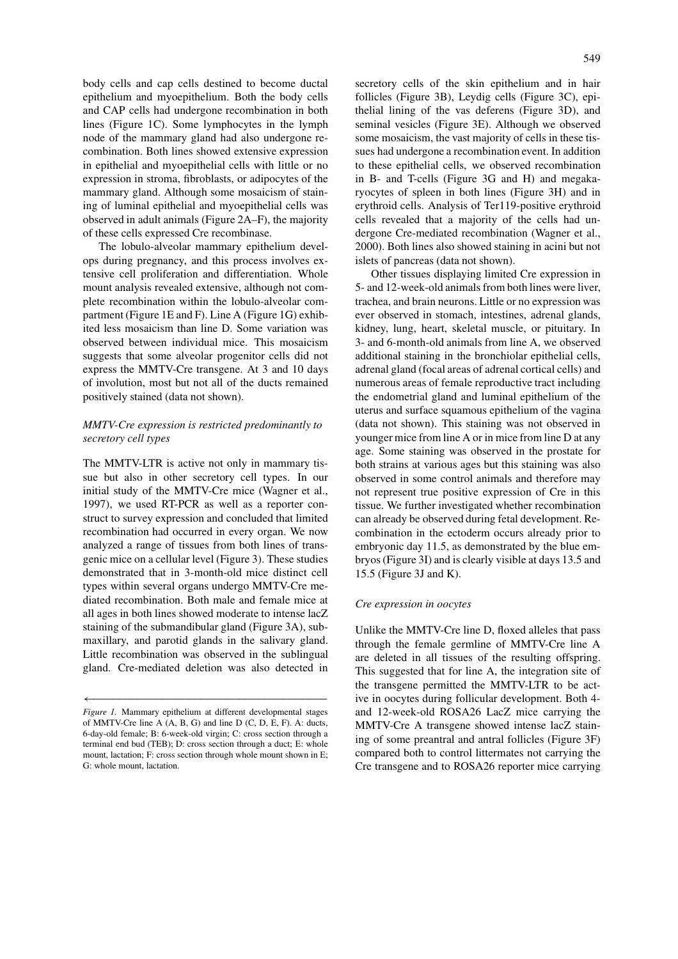body cells and cap cells destined to become ductal epithelium and myoepithelium. Both the body cells and CAP cells had undergone recombination in both lines (Figure 1C). Some lymphocytes in the lymph node of the mammary gland had also undergone recombination. Both lines showed extensive expression in epithelial and myoepithelial cells with little or no expression in stroma, fibroblasts, or adipocytes of the mammary gland. Although some mosaicism of staining of luminal epithelial and myoepithelial cells was observed in adult animals (Figure 2A–F), the majority of these cells expressed Cre recombinase.

The lobulo-alveolar mammary epithelium develops during pregnancy, and this process involves extensive cell proliferation and differentiation. Whole mount analysis revealed extensive, although not complete recombination within the lobulo-alveolar compartment (Figure 1E and F). Line A (Figure 1G) exhibited less mosaicism than line D. Some variation was observed between individual mice. This mosaicism suggests that some alveolar progenitor cells did not express the MMTV-Cre transgene. At 3 and 10 days of involution, most but not all of the ducts remained positively stained (data not shown).

# *MMTV-Cre expression is restricted predominantly to secretory cell types*

The MMTV-LTR is active not only in mammary tissue but also in other secretory cell types. In our initial study of the MMTV-Cre mice (Wagner et al., 1997), we used RT-PCR as well as a reporter construct to survey expression and concluded that limited recombination had occurred in every organ. We now analyzed a range of tissues from both lines of transgenic mice on a cellular level (Figure 3). These studies demonstrated that in 3-month-old mice distinct cell types within several organs undergo MMTV-Cre mediated recombination. Both male and female mice at all ages in both lines showed moderate to intense lacZ staining of the submandibular gland (Figure 3A), submaxillary, and parotid glands in the salivary gland. Little recombination was observed in the sublingual gland. Cre-mediated deletion was also detected in

secretory cells of the skin epithelium and in hair follicles (Figure 3B), Leydig cells (Figure 3C), epithelial lining of the vas deferens (Figure 3D), and seminal vesicles (Figure 3E). Although we observed some mosaicism, the vast majority of cells in these tissues had undergone a recombination event. In addition to these epithelial cells, we observed recombination in B- and T-cells (Figure 3G and H) and megakaryocytes of spleen in both lines (Figure 3H) and in erythroid cells. Analysis of Ter119-positive erythroid cells revealed that a majority of the cells had undergone Cre-mediated recombination (Wagner et al., 2000). Both lines also showed staining in acini but not islets of pancreas (data not shown).

Other tissues displaying limited Cre expression in 5- and 12-week-old animals from both lines were liver, trachea, and brain neurons. Little or no expression was ever observed in stomach, intestines, adrenal glands, kidney, lung, heart, skeletal muscle, or pituitary. In 3- and 6-month-old animals from line A, we observed additional staining in the bronchiolar epithelial cells, adrenal gland (focal areas of adrenal cortical cells) and numerous areas of female reproductive tract including the endometrial gland and luminal epithelium of the uterus and surface squamous epithelium of the vagina (data not shown). This staining was not observed in younger mice from line A or in mice from line D at any age. Some staining was observed in the prostate for both strains at various ages but this staining was also observed in some control animals and therefore may not represent true positive expression of Cre in this tissue. We further investigated whether recombination can already be observed during fetal development. Recombination in the ectoderm occurs already prior to embryonic day 11.5, as demonstrated by the blue embryos (Figure 3I) and is clearly visible at days 13.5 and 15.5 (Figure 3J and K).

# *Cre expression in oocytes*

Unlike the MMTV-Cre line D, floxed alleles that pass through the female germline of MMTV-Cre line A are deleted in all tissues of the resulting offspring. This suggested that for line A, the integration site of the transgene permitted the MMTV-LTR to be active in oocytes during follicular development. Both 4 and 12-week-old ROSA26 LacZ mice carrying the MMTV-Cre A transgene showed intense lacZ staining of some preantral and antral follicles (Figure 3F) compared both to control littermates not carrying the Cre transgene and to ROSA26 reporter mice carrying

<sup>←−−−−−−−−−−−−−−−−−−−−−−−−−−−−−−−−−−−−−</sup> *Figure 1.* Mammary epithelium at different developmental stages of MMTV-Cre line A (A, B, G) and line D (C, D, E, F). A: ducts, 6-day-old female; B: 6-week-old virgin; C: cross section through a terminal end bud (TEB); D: cross section through a duct; E: whole mount, lactation; F: cross section through whole mount shown in E; G: whole mount, lactation.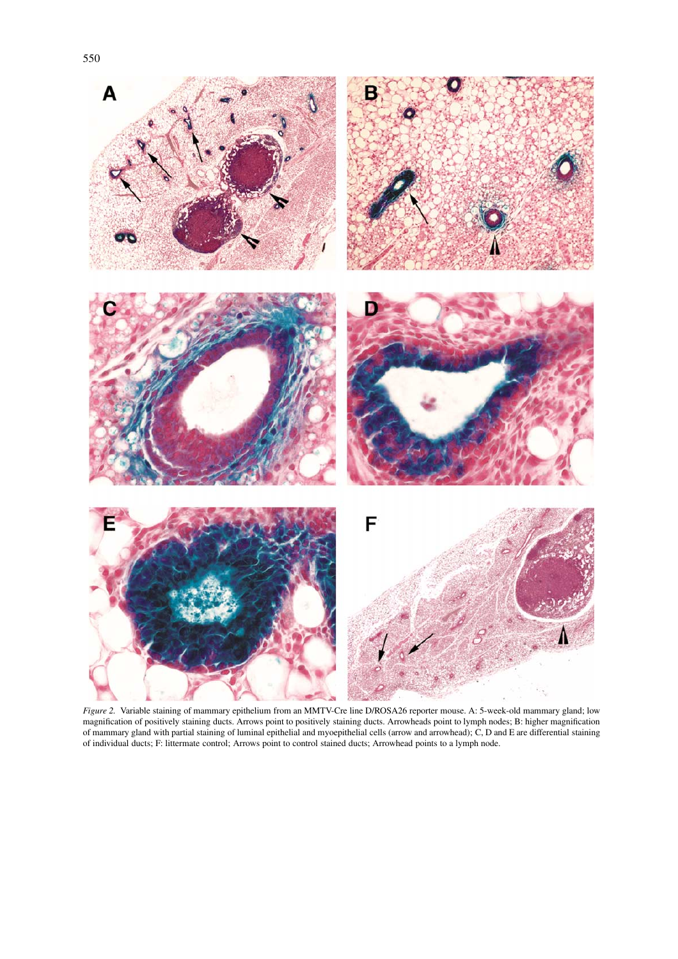

*Figure 2.* Variable staining of mammary epithelium from an MMTV-Cre line D/ROSA26 reporter mouse. A: 5-week-old mammary gland; low magnification of positively staining ducts. Arrows point to positively staining ducts. Arrowheads point to lymph nodes; B: higher magnification of mammary gland with partial staining of luminal epithelial and myoepithelial cells (arrow and arrowhead); C, D and E are differential staining of individual ducts; F: littermate control; Arrows point to control stained ducts; Arrowhead points to a lymph node.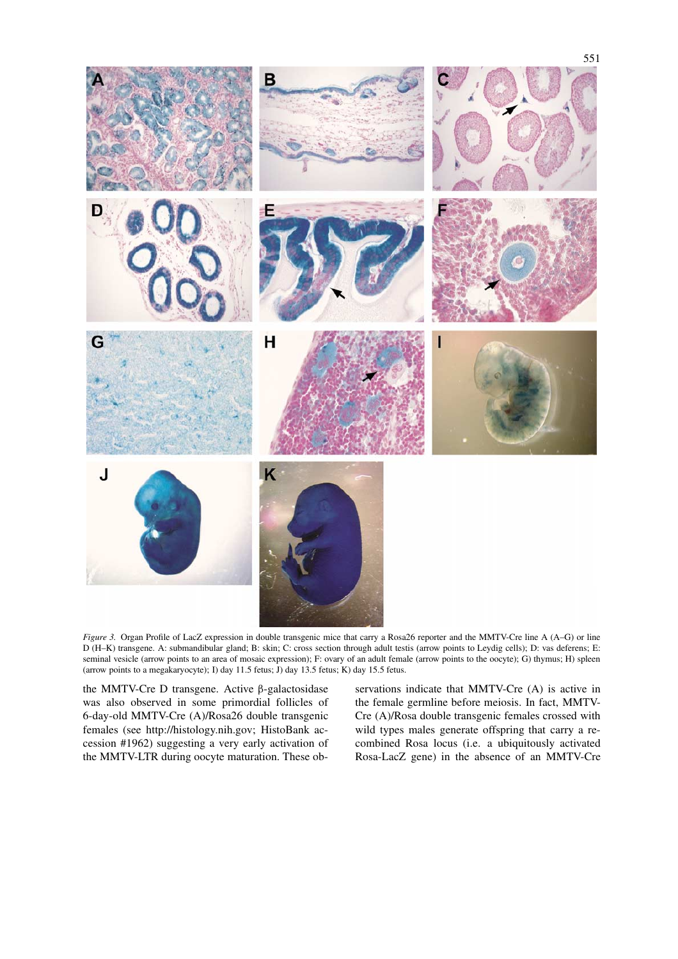

*Figure 3.* Organ Profile of LacZ expression in double transgenic mice that carry a Rosa26 reporter and the MMTV-Cre line A (A–G) or line D (H–K) transgene. A: submandibular gland; B: skin; C: cross section through adult testis (arrow points to Leydig cells); D: vas deferens; E: seminal vesicle (arrow points to an area of mosaic expression); F: ovary of an adult female (arrow points to the oocyte); G) thymus; H) spleen (arrow points to a megakaryocyte); I) day 11.5 fetus; J) day 13.5 fetus; K) day 15.5 fetus.

the MMTV-Cre D transgene. Active β-galactosidase was also observed in some primordial follicles of 6-day-old MMTV-Cre (A)/Rosa26 double transgenic females (see http://histology.nih.gov; HistoBank accession #1962) suggesting a very early activation of the MMTV-LTR during oocyte maturation. These observations indicate that MMTV-Cre (A) is active in the female germline before meiosis. In fact, MMTV-Cre (A)/Rosa double transgenic females crossed with wild types males generate offspring that carry a recombined Rosa locus (i.e. a ubiquitously activated Rosa-LacZ gene) in the absence of an MMTV-Cre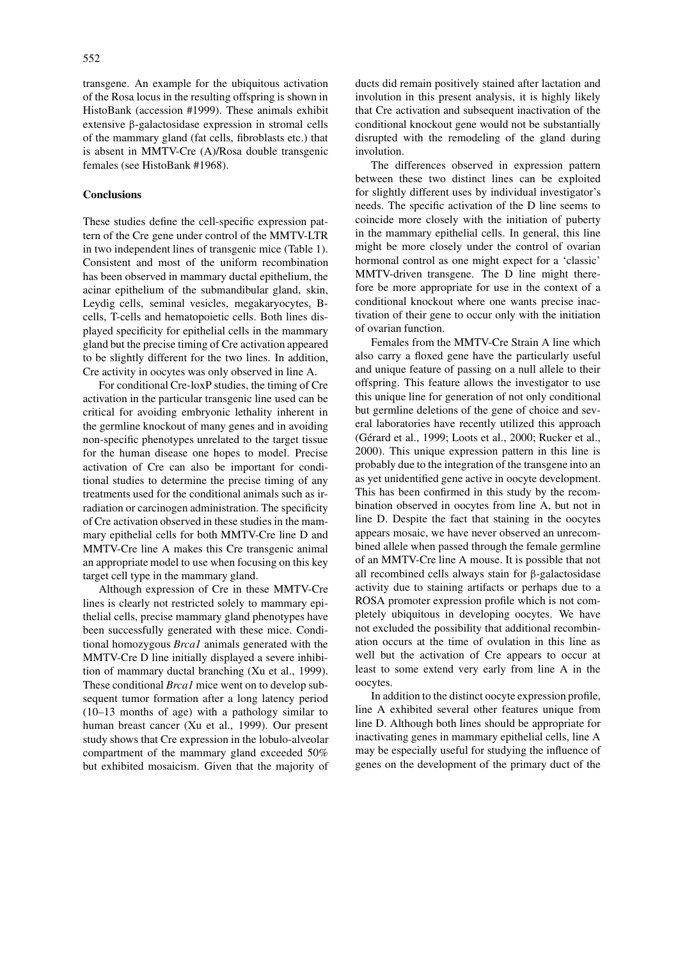transgene. An example for the ubiquitous activation of the Rosa locus in the resulting offspring is shown in HistoBank (accession #1999). These animals exhibit extensive β-galactosidase expression in stromal cells of the mammary gland (fat cells, fibroblasts etc.) that is absent in MMTV-Cre (A)/Rosa double transgenic females (see HistoBank #1968).

# **Conclusions**

These studies define the cell-specific expression pattern of the Cre gene under control of the MMTV-LTR in two independent lines of transgenic mice (Table 1). Consistent and most of the uniform recombination has been observed in mammary ductal epithelium, the acinar epithelium of the submandibular gland, skin, Leydig cells, seminal vesicles, megakaryocytes, Bcells, T-cells and hematopoietic cells. Both lines displayed specificity for epithelial cells in the mammary gland but the precise timing of Cre activation appeared to be slightly different for the two lines. In addition, Cre activity in oocytes was only observed in line A.

For conditional Cre-loxP studies, the timing of Cre activation in the particular transgenic line used can be critical for avoiding embryonic lethality inherent in the germline knockout of many genes and in avoiding non-specific phenotypes unrelated to the target tissue for the human disease one hopes to model. Precise activation of Cre can also be important for conditional studies to determine the precise timing of any treatments used for the conditional animals such as irradiation or carcinogen administration. The specificity of Cre activation observed in these studies in the mammary epithelial cells for both MMTV-Cre line D and MMTV-Cre line A makes this Cre transgenic animal an appropriate model to use when focusing on this key target cell type in the mammary gland.

Although expression of Cre in these MMTV-Cre lines is clearly not restricted solely to mammary epithelial cells, precise mammary gland phenotypes have been successfully generated with these mice. Conditional homozygous *Brca1* animals generated with the MMTV-Cre D line initially displayed a severe inhibition of mammary ductal branching (Xu et al., 1999). These conditional *Brca1* mice went on to develop subsequent tumor formation after a long latency period (10–13 months of age) with a pathology similar to human breast cancer (Xu et al., 1999). Our present study shows that Cre expression in the lobulo-alveolar compartment of the mammary gland exceeded 50% but exhibited mosaicism. Given that the majority of

ducts did remain positively stained after lactation and involution in this present analysis, it is highly likely that Cre activation and subsequent inactivation of the conditional knockout gene would not be substantially disrupted with the remodeling of the gland during involution.

The differences observed in expression pattern between these two distinct lines can be exploited for slightly different uses by individual investigator's needs. The specific activation of the D line seems to coincide more closely with the initiation of puberty in the mammary epithelial cells. In general, this line might be more closely under the control of ovarian hormonal control as one might expect for a 'classic' MMTV-driven transgene. The D line might therefore be more appropriate for use in the context of a conditional knockout where one wants precise inactivation of their gene to occur only with the initiation of ovarian function.

Females from the MMTV-Cre Strain A line which also carry a floxed gene have the particularly useful and unique feature of passing on a null allele to their offspring. This feature allows the investigator to use this unique line for generation of not only conditional but germline deletions of the gene of choice and several laboratories have recently utilized this approach (Gérard et al., 1999; Loots et al., 2000; Rucker et al., 2000). This unique expression pattern in this line is probably due to the integration of the transgene into an as yet unidentified gene active in oocyte development. This has been confirmed in this study by the recombination observed in oocytes from line A, but not in line D. Despite the fact that staining in the oocytes appears mosaic, we have never observed an unrecombined allele when passed through the female germline of an MMTV-Cre line A mouse. It is possible that not all recombined cells always stain for β-galactosidase activity due to staining artifacts or perhaps due to a ROSA promoter expression profile which is not completely ubiquitous in developing oocytes. We have not excluded the possibility that additional recombination occurs at the time of ovulation in this line as well but the activation of Cre appears to occur at least to some extend very early from line A in the oocytes.

In addition to the distinct oocyte expression profile, line A exhibited several other features unique from line D. Although both lines should be appropriate for inactivating genes in mammary epithelial cells, line A may be especially useful for studying the influence of genes on the development of the primary duct of the